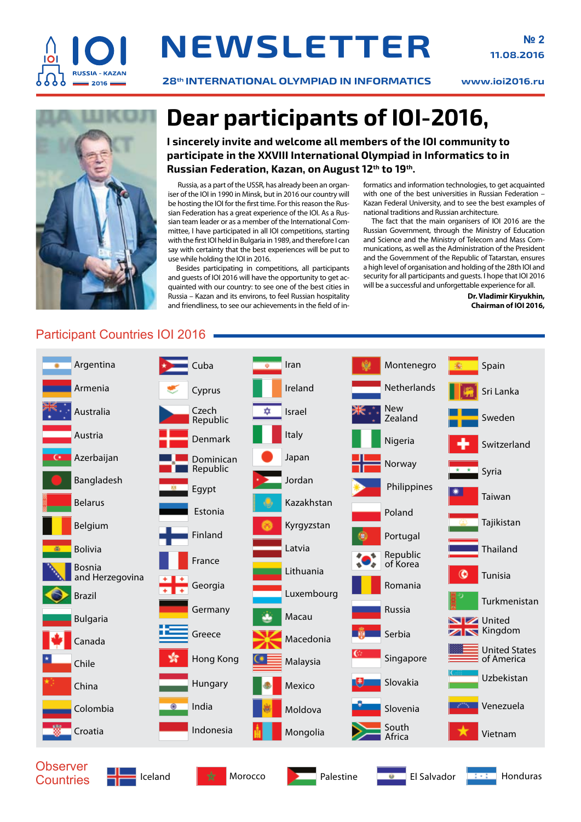

# NEWSLETTER **№2**

**28th INTERNATIONAL OLYMPIAD IN INFORMATICS www.ioi2016.ru**



### **Dear participants of IOI-2016,**

**I sincerely invite and welcome all members of the IOI community to participate in the XXVIII International Olympiad in Informatics to in Russian Federation, Kazan, on August 12th to 19th.**

 Russia, as a part of the USSR, has already been an organiser of the IOI in 1990 in Minsk, but in 2016 our country will be hosting the IOI for the first time. For this reason the Russian Federation has a great experience of the IOI. As a Russian team leader or as a member of the International Committee, I have participated in all IOI competitions, starting with the first IOI held in Bulgaria in 1989, and therefore I can say with certainty that the best experiences will be put to use while holding the IOI in 2016.

Besides participating in competitions, all participants and guests of IOI 2016 will have the opportunity to get acquainted with our country: to see one of the best cities in Russia – Kazan and its environs, to feel Russian hospitality and friendliness, to see our achievements in the field of informatics and information technologies, to get acquainted with one of the best universities in Russian Federation – Kazan Federal University, and to see the best examples of national traditions and Russian architecture.

The fact that the main organisers of IOI 2016 are the Russian Government, through the Ministry of Education and Science and the Ministry of Telecom and Mass Communications, as well as the Administration of the President and the Government of the Republic of Tatarstan, ensures a high level of organisation and holding of the 28th IOI and security for all participants and guests. I hope that IOI 2016 will be a successful and unforgettable experience for all.

> **Dr. Vladimir Kiryukhin, Chairman of IOI 2016,**

#### Montenegro Argentina Cuba Iran Spain **Netherlands** Armenia Ireland Cyprus Sri Lanka New Australia Czech Israel Zealand Sweden Republic Italy Austria Denmark Nigeria Switzerland Azerbaijan Japan Dominican Norway Republic Syria Bangladesh Jordan Philippines Egypt Taiwan Belarus Kazakhstan Estonia Poland Tajikistan Kyrgyzstan Belgium Finland Portugal Latvia **Thailand** Bolivia Republic France of Korea Bosnia Lithuania ര Tunisia and Herzegovina Romania Georgia Luxembourg Brazil Turkmenistan Germany Russia Macau Bulgaria **United ZIN** Kingdom Greece Serbia Macedonia Canada United States Singapore Hong Kong of America Malaysia Chile Uzbekistan Slovakia Hungary China Mexico India Venezuela Colombia Moldova Slovenia South Croatia Indonesia **Mongolia** Vietnam Africa **Observer I** Iceland **Morocco Palestine El Salvador Honduras Countries**

### Participant Countries IOI 2016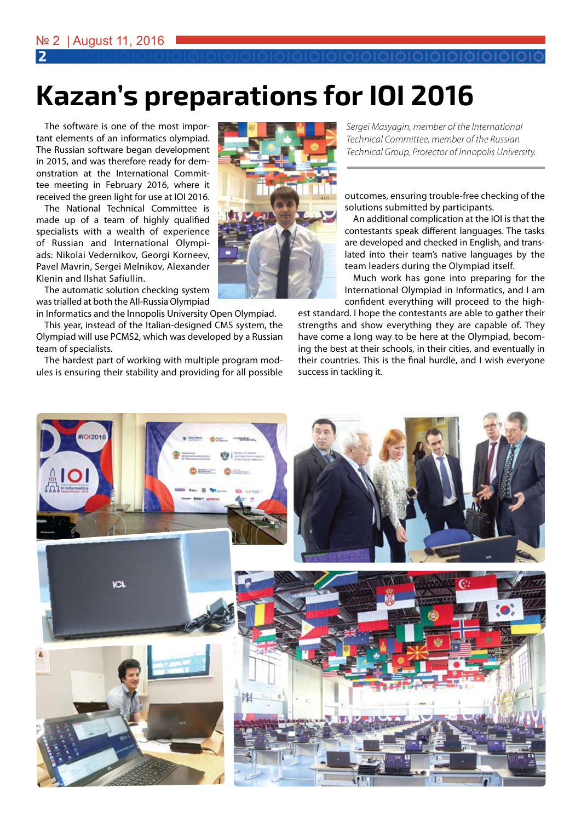# **Kazan's preparations for IOI 2016**

The software is one of the most important elements of an informatics olympiad. The Russian software began development in 2015, and was therefore ready for demonstration at the International Committee meeting in February 2016, where it received the green light for use at IOI 2016.

№ 2 | August 11, 2016

**2**

The National Technical Committee is made up of a team of highly qualified specialists with a wealth of experience of Russian and International Olympiads: Nikolai Vedernikov, Georgi Korneev, Pavel Mavrin, Sergei Melnikov, Alexander Klenin and Ilshat Safiullin.

The automatic solution checking system was trialled at both the All-Russia Olympiad

in Informatics and the Innopolis University Open Olympiad. This year, instead of the Italian-designed CMS system, the Olympiad will use PCMS2, which was developed by a Russian team of specialists.

The hardest part of working with multiple program modules is ensuring their stability and providing for all possible



*Sergei Masyagin, member of the International Technical Committee, member of the Russian Technical Group, Prorector of Innopolis University.*

outcomes, ensuring trouble-free checking of the solutions submitted by participants.

An additional complication at the IOI is that the contestants speak different languages. The tasks are developed and checked in English, and translated into their team's native languages by the team leaders during the Olympiad itself.

Much work has gone into preparing for the International Olympiad in Informatics, and I am confident everything will proceed to the high-

est standard. I hope the contestants are able to gather their strengths and show everything they are capable of. They have come a long way to be here at the Olympiad, becoming the best at their schools, in their cities, and eventually in their countries. This is the final hurdle, and I wish everyone success in tackling it.

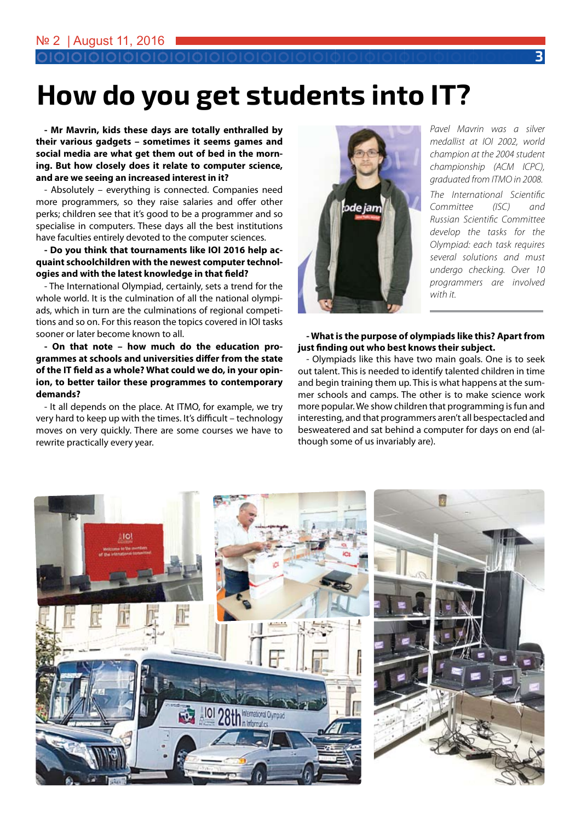## **How do you get students into IT?**

**- Mr Mavrin, kids these days are totally enthralled by their various gadgets – sometimes it seems games and social media are what get them out of bed in the morning. But how closely does it relate to computer science, and are we seeing an increased interest in it?**

- Absolutely – everything is connected. Companies need more programmers, so they raise salaries and offer other perks; children see that it's good to be a programmer and so specialise in computers. These days all the best institutions have faculties entirely devoted to the computer sciences.

**- Do you think that tournaments like IOI 2016 help acquaint schoolchildren with the newest computer technologies and with the latest knowledge in that field?**

- The International Olympiad, certainly, sets a trend for the whole world. It is the culmination of all the national olympiads, which in turn are the culminations of regional competitions and so on. For this reason the topics covered in IOI tasks sooner or later become known to all.

**- On that note – how much do the education programmes at schools and universities differ from the state of the IT field as a whole? What could we do, in your opinion, to better tailor these programmes to contemporary demands?**

- It all depends on the place. At ITMO, for example, we try very hard to keep up with the times. It's difficult – technology moves on very quickly. There are some courses we have to rewrite practically every year.



*Pavel Mavrin was a silver medallist at IOI 2002, world champion at the 2004 student championship (ACM ICPC), graduated from ITMO in 2008. The International Scientific Committee (ISC) and Russian Scientific Committee develop the tasks for the Olympiad: each task requires several solutions and must undergo checking. Over 10 programmers are involved with it.*

**- What is the purpose of olympiads like this? Apart from just finding out who best knows their subject.** 

- Olympiads like this have two main goals. One is to seek out talent. This is needed to identify talented children in time and begin training them up. This is what happens at the summer schools and camps. The other is to make science work more popular. We show children that programming is fun and interesting, and that programmers aren't all bespectacled and besweatered and sat behind a computer for days on end (although some of us invariably are).